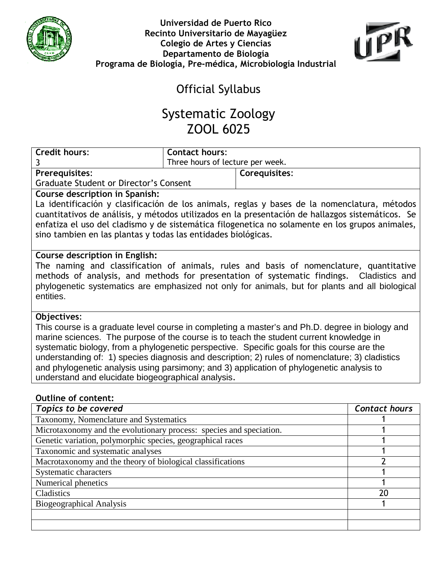



## Official Syllabus

## Systematic Zoology ZOOL 6025

| <b>Credit hours:</b>                                                                                                                                                                         | <b>Contact hours:</b>                                                                           |               |                      |  |  |
|----------------------------------------------------------------------------------------------------------------------------------------------------------------------------------------------|-------------------------------------------------------------------------------------------------|---------------|----------------------|--|--|
| 3                                                                                                                                                                                            | Three hours of lecture per week.                                                                |               |                      |  |  |
| <b>Prerequisites:</b>                                                                                                                                                                        |                                                                                                 | Corequisites: |                      |  |  |
| <b>Graduate Student or Director's Consent</b>                                                                                                                                                |                                                                                                 |               |                      |  |  |
| <b>Course description in Spanish:</b>                                                                                                                                                        |                                                                                                 |               |                      |  |  |
|                                                                                                                                                                                              | La identificación y clasificación de los animals, reglas y bases de la nomenclatura, métodos    |               |                      |  |  |
| cuantitativos de análisis, y métodos utilizados en la presentación de hallazgos sistemáticos. Se                                                                                             |                                                                                                 |               |                      |  |  |
| enfatiza el uso del cladismo y de sistemática filogenetica no solamente en los grupos animales,                                                                                              |                                                                                                 |               |                      |  |  |
| sino tambien en las plantas y todas las entidades biológicas.                                                                                                                                |                                                                                                 |               |                      |  |  |
|                                                                                                                                                                                              |                                                                                                 |               |                      |  |  |
| Course description in English:                                                                                                                                                               |                                                                                                 |               |                      |  |  |
| The naming and classification of animals, rules and basis of nomenclature, quantitative                                                                                                      |                                                                                                 |               |                      |  |  |
|                                                                                                                                                                                              | methods of analysis, and methods for presentation of systematic findings. Cladistics and        |               |                      |  |  |
|                                                                                                                                                                                              | phylogenetic systematics are emphasized not only for animals, but for plants and all biological |               |                      |  |  |
| entities.                                                                                                                                                                                    |                                                                                                 |               |                      |  |  |
|                                                                                                                                                                                              |                                                                                                 |               |                      |  |  |
| Objectives:                                                                                                                                                                                  |                                                                                                 |               |                      |  |  |
| This course is a graduate level course in completing a master's and Ph.D. degree in biology and                                                                                              |                                                                                                 |               |                      |  |  |
| marine sciences. The purpose of the course is to teach the student current knowledge in<br>systematic biology, from a phylogenetic perspective. Specific goals for this course are the       |                                                                                                 |               |                      |  |  |
|                                                                                                                                                                                              |                                                                                                 |               |                      |  |  |
| understanding of: 1) species diagnosis and description; 2) rules of nomenclature; 3) cladistics<br>and phylogenetic analysis using parsimony; and 3) application of phylogenetic analysis to |                                                                                                 |               |                      |  |  |
| understand and elucidate biogeographical analysis.                                                                                                                                           |                                                                                                 |               |                      |  |  |
|                                                                                                                                                                                              |                                                                                                 |               |                      |  |  |
| <b>Outline of content:</b>                                                                                                                                                                   |                                                                                                 |               |                      |  |  |
| <b>Topics to be covered</b>                                                                                                                                                                  |                                                                                                 |               | <b>Contact hours</b> |  |  |
| Taxonomy, Nomenclature and Systematics                                                                                                                                                       |                                                                                                 |               |                      |  |  |
| Microtaxonomy and the evolutionary process: species and speciation.                                                                                                                          |                                                                                                 |               | 1                    |  |  |
| Genetic variation, polymorphic species, geographical races                                                                                                                                   |                                                                                                 |               | 1                    |  |  |
| Taxonomic and systematic analyses                                                                                                                                                            |                                                                                                 |               | 1                    |  |  |
| Macrotaxonomy and the theory of biological classifications                                                                                                                                   |                                                                                                 |               | $\overline{2}$       |  |  |
| <b>Systematic characters</b>                                                                                                                                                                 |                                                                                                 |               | 1                    |  |  |
| Numerical phenetics                                                                                                                                                                          |                                                                                                 |               | 1                    |  |  |
| Cladistics                                                                                                                                                                                   |                                                                                                 |               | 20                   |  |  |
| <b>Biogeographical Analysis</b>                                                                                                                                                              |                                                                                                 |               |                      |  |  |
|                                                                                                                                                                                              |                                                                                                 |               |                      |  |  |
|                                                                                                                                                                                              |                                                                                                 |               |                      |  |  |